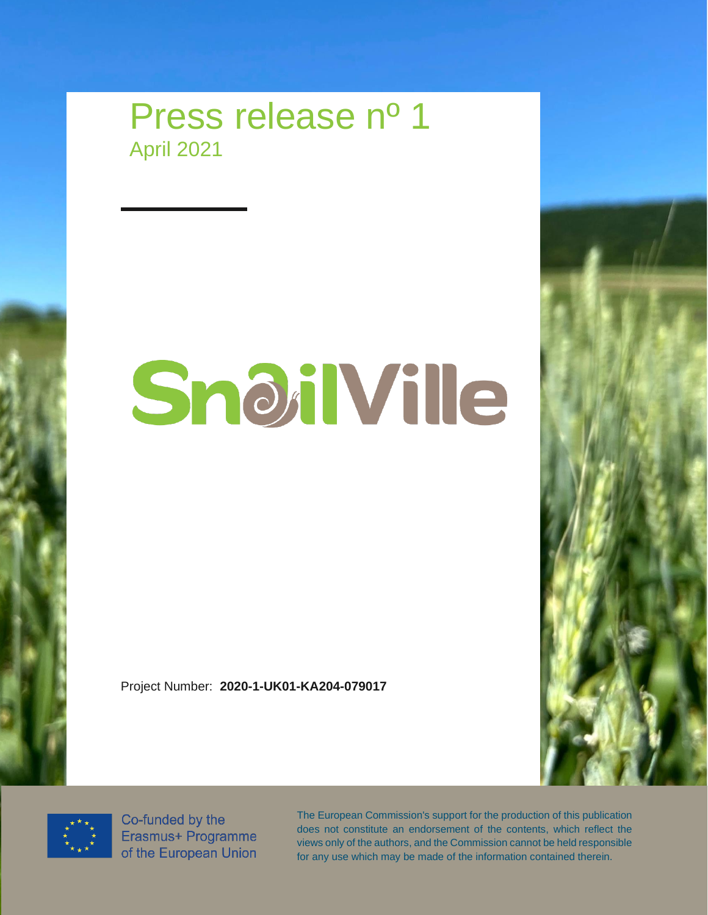

## SnoilVille

Project Number: **2020-1-UK01-KA204-079017**





Co-funded by the Erasmus+ Programme of the European Union

The European Commission's support for the production of this publication does not constitute an endorsement of the contents, which reflect the views only of the authors, and the Commission cannot be held responsible for any use which may be made of the information contained therein.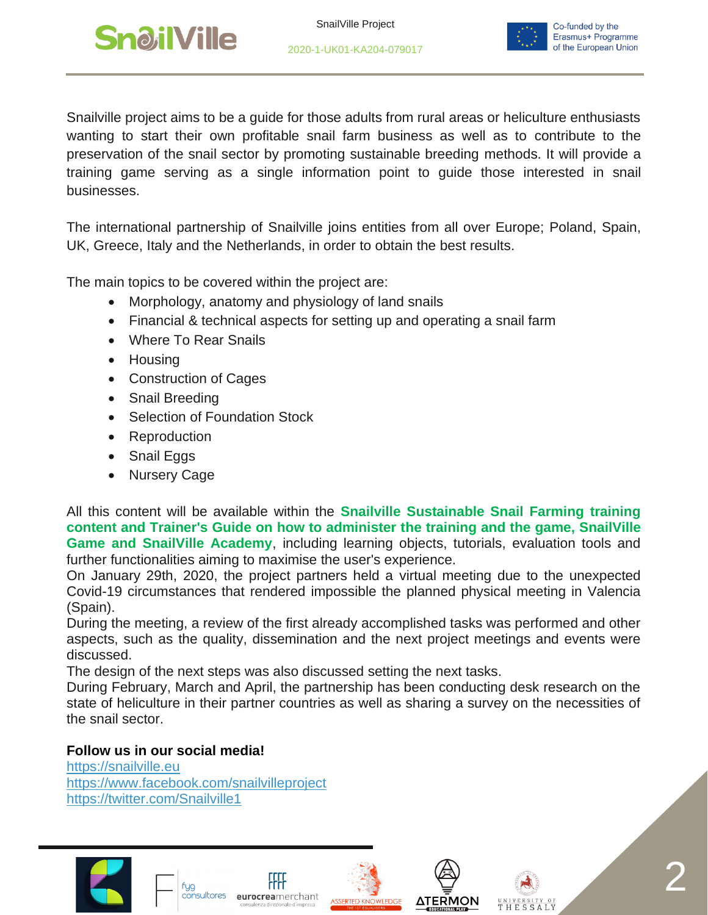

2020-1-UK01-KA204-079017



Snailville project aims to be a guide for those adults from rural areas or heliculture enthusiasts wanting to start their own profitable snail farm business as well as to contribute to the preservation of the snail sector by promoting sustainable breeding methods. It will provide a training game serving as a single information point to guide those interested in snail businesses.

The international partnership of Snailville joins entities from all over Europe; Poland, Spain, UK, Greece, Italy and the Netherlands, in order to obtain the best results.

The main topics to be covered within the project are:

- Morphology, anatomy and physiology of land snails
- Financial & technical aspects for setting up and operating a snail farm
- Where To Rear Snails
- Housing
- Construction of Cages
- Snail Breeding
- Selection of Foundation Stock
- Reproduction
- Snail Eggs
- Nursery Cage

All this content will be available within the **Snailville Sustainable Snail Farming training content and Trainer's Guide on how to administer the training and the game, SnailVille Game and SnailVille Academy**, including learning objects, tutorials, evaluation tools and further functionalities aiming to maximise the user's experience.

On January 29th, 2020, the project partners held a virtual meeting due to the unexpected Covid-19 circumstances that rendered impossible the planned physical meeting in Valencia (Spain).

During the meeting, a review of the first already accomplished tasks was performed and other aspects, such as the quality, dissemination and the next project meetings and events were discussed.

The design of the next steps was also discussed setting the next tasks.

During February, March and April, the partnership has been conducting desk research on the state of heliculture in their partner countries as well as sharing a survey on the necessities of the snail sector.

## **Follow us in our social media!**

[https://snailville.eu](https://snailville.eu/) <https://www.facebook.com/snailvilleproject> <https://twitter.com/Snailville1>